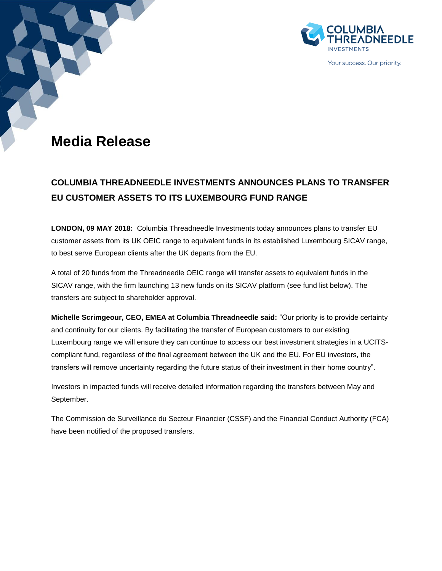



Your success. Our priority.

# **Media Release**

## **COLUMBIA THREADNEEDLE INVESTMENTS ANNOUNCES PLANS TO TRANSFER EU CUSTOMER ASSETS TO ITS LUXEMBOURG FUND RANGE**

**LONDON, 09 MAY 2018:** Columbia Threadneedle Investments today announces plans to transfer EU customer assets from its UK OEIC range to equivalent funds in its established Luxembourg SICAV range, to best serve European clients after the UK departs from the EU.

A total of 20 funds from the Threadneedle OEIC range will transfer assets to equivalent funds in the SICAV range, with the firm launching 13 new funds on its SICAV platform (see fund list below). The transfers are subject to shareholder approval.

**Michelle Scrimgeour, CEO, EMEA at Columbia Threadneedle said:** "Our priority is to provide certainty and continuity for our clients. By facilitating the transfer of European customers to our existing Luxembourg range we will ensure they can continue to access our best investment strategies in a UCITScompliant fund, regardless of the final agreement between the UK and the EU. For EU investors, the transfers will remove uncertainty regarding the future status of their investment in their home country".

Investors in impacted funds will receive detailed information regarding the transfers between May and September.

The Commission de Surveillance du Secteur Financier (CSSF) and the Financial Conduct Authority (FCA) have been notified of the proposed transfers.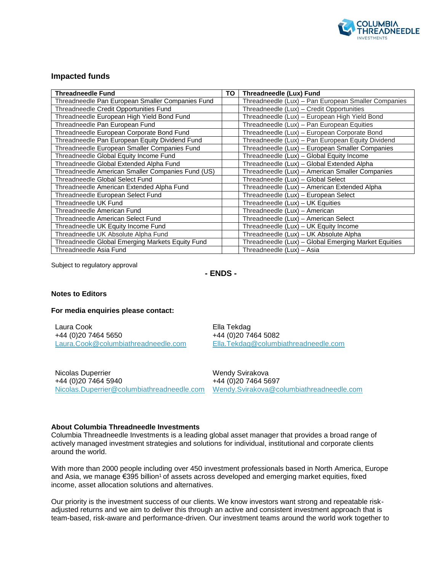

### **Impacted funds**

| <b>Threadneedle Fund</b>                          | TO | Threadneedle (Lux) Fund                              |
|---------------------------------------------------|----|------------------------------------------------------|
| Threadneedle Pan European Smaller Companies Fund  |    | Threadneedle (Lux) - Pan European Smaller Companies  |
| Threadneedle Credit Opportunities Fund            |    | Threadneedle (Lux) - Credit Opportunities            |
| Threadneedle European High Yield Bond Fund        |    | Threadneedle (Lux) - European High Yield Bond        |
| Threadneedle Pan European Fund                    |    | Threadneedle (Lux) - Pan European Equities           |
| Threadneedle European Corporate Bond Fund         |    | Threadneedle (Lux) - European Corporate Bond         |
| Threadneedle Pan European Equity Dividend Fund    |    | Threadneedle (Lux) - Pan European Equity Dividend    |
| Threadneedle European Smaller Companies Fund      |    | Threadneedle (Lux) - European Smaller Companies      |
| Threadneedle Global Equity Income Fund            |    | Threadneedle (Lux) - Global Equity Income            |
| Threadneedle Global Extended Alpha Fund           |    | Threadneedle (Lux) - Global Extended Alpha           |
| Threadneedle American Smaller Companies Fund (US) |    | Threadneedle (Lux) - American Smaller Companies      |
| Threadneedle Global Select Fund                   |    | Threadneedle (Lux) - Global Select                   |
| Threadneedle American Extended Alpha Fund         |    | Threadneedle (Lux) - American Extended Alpha         |
| Threadneedle European Select Fund                 |    | Threadneedle (Lux) - European Select                 |
| Threadneedle UK Fund                              |    | Threadneedle (Lux) - UK Equities                     |
| Threadneedle American Fund                        |    | Threadneedle (Lux) - American                        |
| Threadneedle American Select Fund                 |    | Threadneedle (Lux) - American Select                 |
| Threadneedle UK Equity Income Fund                |    | Threadneedle (Lux) - UK Equity Income                |
| Threadneedle UK Absolute Alpha Fund               |    | Threadneedle (Lux) - UK Absolute Alpha               |
| Threadneedle Global Emerging Markets Equity Fund  |    | Threadneedle (Lux) - Global Emerging Market Equities |
| Threadneedle Asia Fund                            |    | Threadneedle (Lux) - Asia                            |

Subject to regulatory approval

**- ENDS -**

#### **Notes to Editors**

#### **For media enquiries please contact:**

Laura Cook +44 (0)20 7464 5650 [Laura.Cook@columbiathreadneedle.com](mailto:Laura.Cook@columbiathreadneedle.com)

Ella Tekdag +44 (0)20 7464 5082 [Ella.Tekdag@columbiathreadneedle.com](mailto:Ella.Tekdag@columbiathreadneedle.com)

Nicolas Duperrier +44 (0)20 7464 5940 [Nicolas.Duperrier@columbiathreadneedle.com](mailto:Nicolas.Duperrier@columbiathreadneedle.com)

Wendy Svirakova +44 (0)20 7464 5697 [Wendy.Svirakova@columbiathreadneedle.com](mailto:Wendy.Svirakova@columbiathreadneedle.com)

#### **About Columbia Threadneedle Investments**

Columbia Threadneedle Investments is a leading global asset manager that provides a broad range of actively managed investment strategies and solutions for individual, institutional and corporate clients around the world.

With more than 2000 people including over 450 investment professionals based in North America, Europe and Asia, we manage €395 billion<sup>1</sup> of assets across developed and emerging market equities, fixed income, asset allocation solutions and alternatives.

Our priority is the investment success of our clients. We know investors want strong and repeatable riskadjusted returns and we aim to deliver this through an active and consistent investment approach that is team-based, risk-aware and performance-driven. Our investment teams around the world work together to